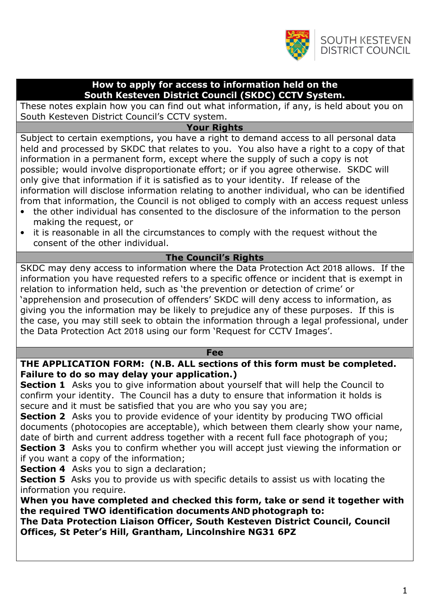

#### How to apply for access to information held on the South Kesteven District Council (SKDC) CCTV System.

These notes explain how you can find out what information, if any, is held about you on South Kesteven District Council's CCTV system.

# Your Rights

Subject to certain exemptions, you have a right to demand access to all personal data held and processed by SKDC that relates to you. You also have a right to a copy of that information in a permanent form, except where the supply of such a copy is not possible; would involve disproportionate effort; or if you agree otherwise. SKDC will only give that information if it is satisfied as to your identity. If release of the information will disclose information relating to another individual, who can be identified from that information, the Council is not obliged to comply with an access request unless

- the other individual has consented to the disclosure of the information to the person making the request, or
- it is reasonable in all the circumstances to comply with the request without the consent of the other individual.

## The Council's Rights

SKDC may deny access to information where the Data Protection Act 2018 allows. If the information you have requested refers to a specific offence or incident that is exempt in relation to information held, such as 'the prevention or detection of crime' or 'apprehension and prosecution of offenders' SKDC will deny access to information, as giving you the information may be likely to prejudice any of these purposes. If this is the case, you may still seek to obtain the information through a legal professional, under the Data Protection Act 2018 using our form 'Request for CCTV Images'.

#### Fee

## THE APPLICATION FORM: (N.B. ALL sections of this form must be completed. Failure to do so may delay your application.)

**Section 1** Asks you to give information about yourself that will help the Council to confirm your identity. The Council has a duty to ensure that information it holds is secure and it must be satisfied that you are who you say you are;

**Section 2** Asks you to provide evidence of your identity by producing TWO official documents (photocopies are acceptable), which between them clearly show your name, date of birth and current address together with a recent full face photograph of you; **Section 3** Asks you to confirm whether you will accept just viewing the information or if you want a copy of the information;

Section 4 Asks you to sign a declaration;

**Section 5** Asks you to provide us with specific details to assist us with locating the information you require.

When you have completed and checked this form, take or send it together with the required TWO identification documents **AND** photograph to:

The Data Protection Liaison Officer, South Kesteven District Council, Council Offices, St Peter's Hill, Grantham, Lincolnshire NG31 6PZ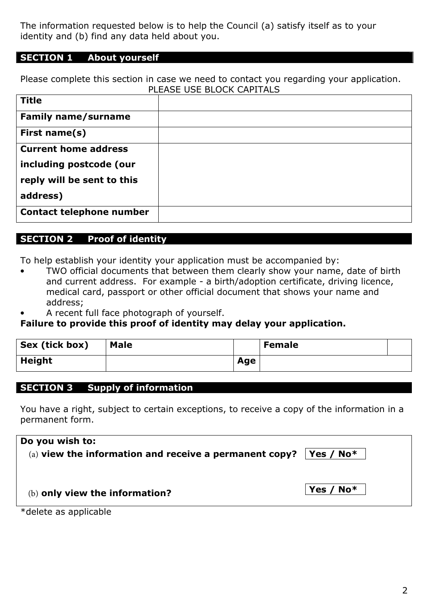The information requested below is to help the Council (a) satisfy itself as to your identity and (b) find any data held about you.

# SECTION 1 About yourself

Please complete this section in case we need to contact you regarding your application. PLEASE USE BLOCK CAPITALS

| <b>Title</b>                    |  |
|---------------------------------|--|
| <b>Family name/surname</b>      |  |
| First name(s)                   |  |
| <b>Current home address</b>     |  |
| including postcode (our         |  |
| reply will be sent to this      |  |
| address)                        |  |
| <b>Contact telephone number</b> |  |

# SECTION 2 Proof of identity

To help establish your identity your application must be accompanied by:

- TWO official documents that between them clearly show your name, date of birth and current address. For example - a birth/adoption certificate, driving licence, medical card, passport or other official document that shows your name and address;
- A recent full face photograph of yourself.

#### Failure to provide this proof of identity may delay your application.

| Sex (tick box) | <b>Male</b> |     | <b>Female</b> |  |
|----------------|-------------|-----|---------------|--|
| <b>Height</b>  |             | Age |               |  |

# SECTION 3 Supply of information

You have a right, subject to certain exceptions, to receive a copy of the information in a permanent form.

| Do you wish to:                                        |                   |
|--------------------------------------------------------|-------------------|
| (a) view the information and receive a permanent copy? | $ $ Yes / No $^*$ |
| (b) only view the information?                         | Yes / $No*$       |
| *delete as applicable                                  |                   |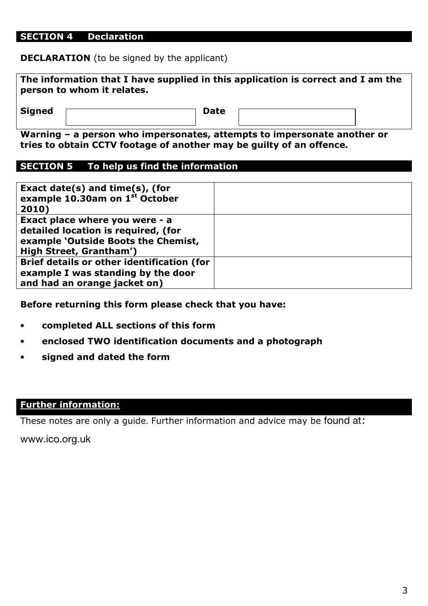#### SECTION 4 Declaration

**DECLARATION** (to be signed by the applicant)

| person to whom it relates. | The information that I have supplied in this application is correct and I am the |
|----------------------------|----------------------------------------------------------------------------------|
| <b>Signed</b>              | <b>Date</b>                                                                      |

Warning – a person who impersonates, attempts to impersonate another or tries to obtain CCTV footage of another may be guilty of an offence.

# SECTION 5 To help us find the information

| Exact date(s) and time(s), (for<br>example 10.30am on 1st October<br>2010)                                                              |  |
|-----------------------------------------------------------------------------------------------------------------------------------------|--|
| Exact place where you were - a<br>detailed location is required, (for<br>example 'Outside Boots the Chemist,<br>High Street, Grantham') |  |
| Brief details or other identification (for<br>example I was standing by the door<br>and had an orange jacket on)                        |  |

Before returning this form please check that you have:

- completed ALL sections of this form
- enclosed TWO identification documents and a photograph
- signed and dated the form

#### Further information:

These notes are only a guide. Further information and advice may be found at:

www.ico.org.uk